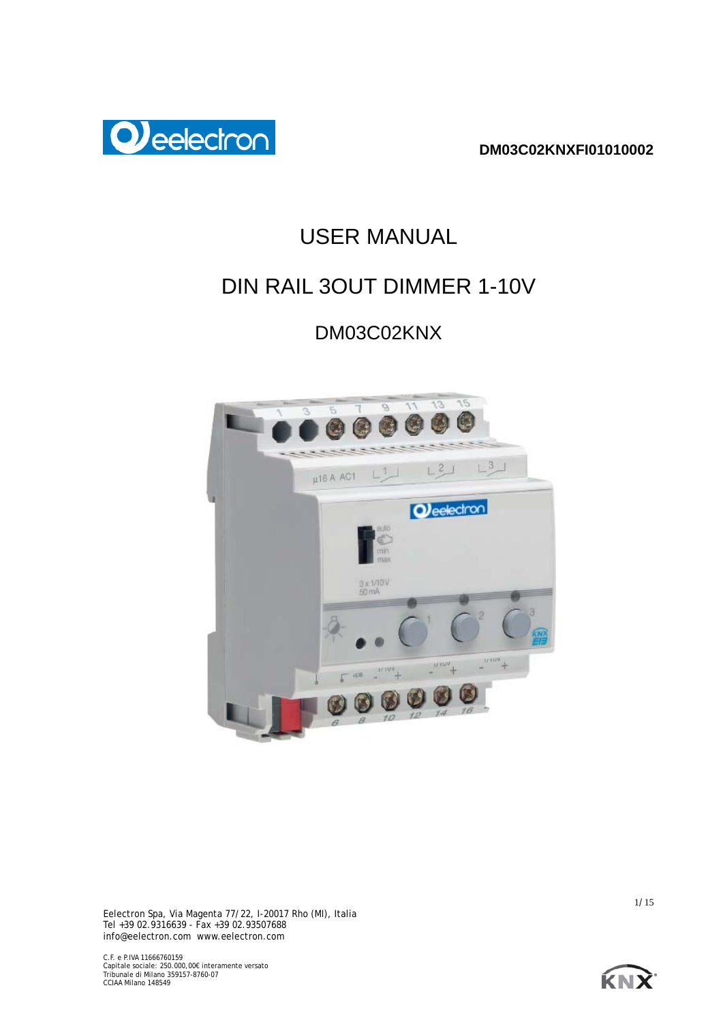

# USER MANUAL

# DIN RAIL 3OUT DIMMER 1-10V

# DM03C02KNX





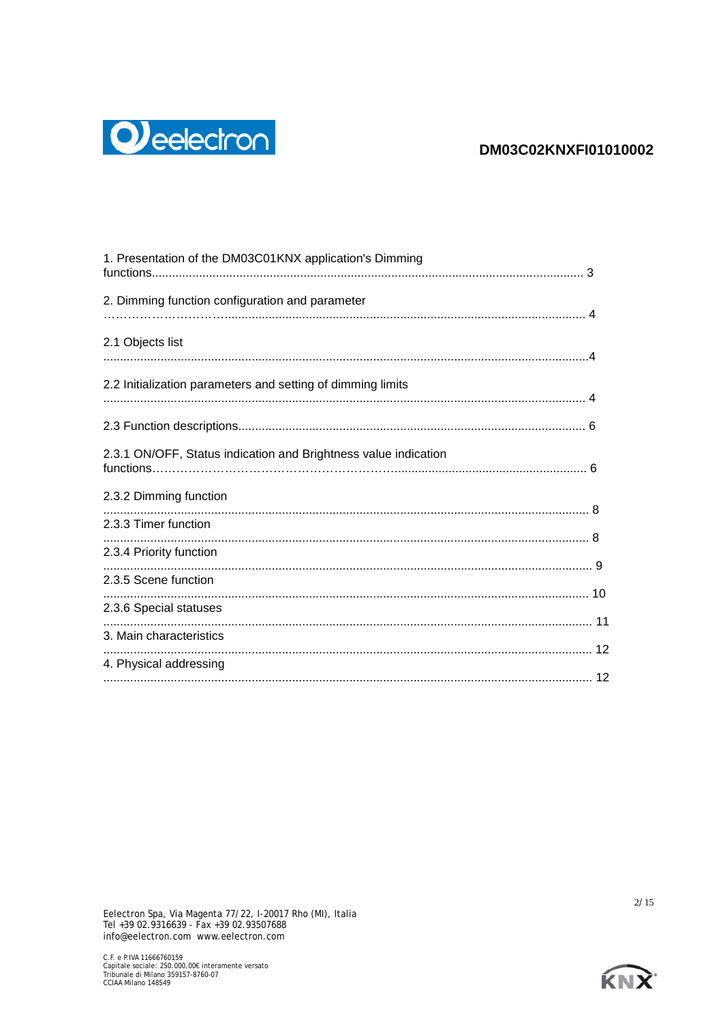

| 1. Presentation of the DM03C01KNX application's Dimming         |  |
|-----------------------------------------------------------------|--|
| 2. Dimming function configuration and parameter                 |  |
| 2.1 Objects list                                                |  |
| 2.2 Initialization parameters and setting of dimming limits     |  |
|                                                                 |  |
| 2.3.1 ON/OFF, Status indication and Brightness value indication |  |
| 2.3.2 Dimming function                                          |  |
| 2.3.3 Timer function                                            |  |
| 2.3.4 Priority function                                         |  |
| 2.3.5 Scene function                                            |  |
| 2.3.6 Special statuses                                          |  |
| 3. Main characteristics                                         |  |
| 4. Physical addressing                                          |  |
|                                                                 |  |



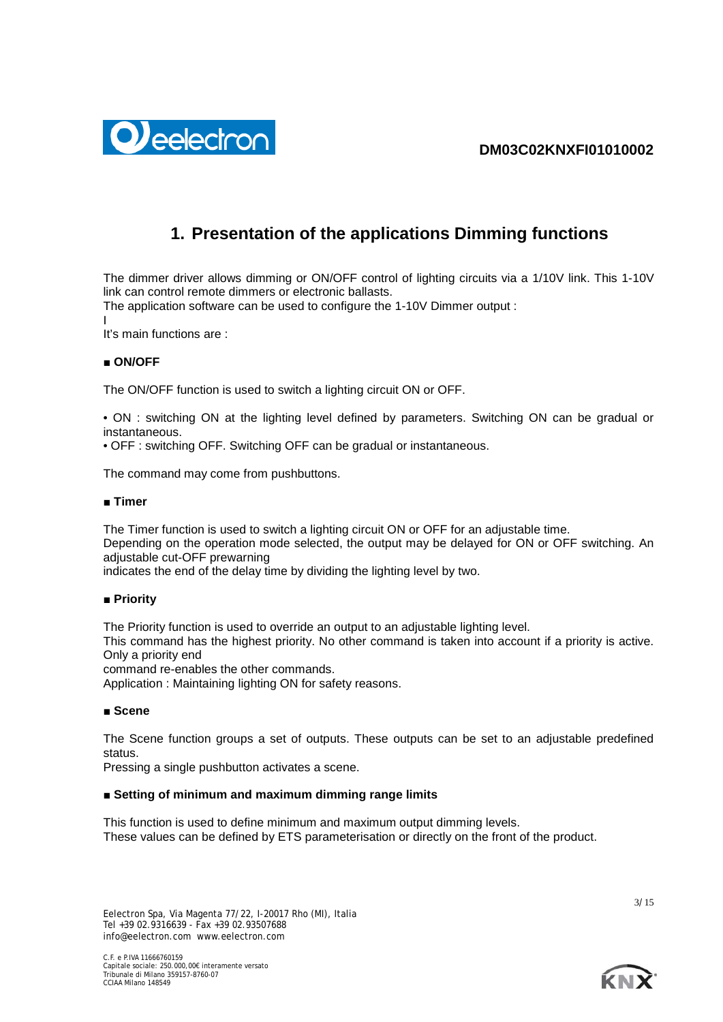

# **1. Presentation of the applications Dimming functions**

The dimmer driver allows dimming or ON/OFF control of lighting circuits via a 1/10V link. This 1-10V link can control remote dimmers or electronic ballasts.

The application software can be used to configure the 1-10V Dimmer output :

I

It's main functions are :

# **■ ON/OFF**

The ON/OFF function is used to switch a lighting circuit ON or OFF.

• ON : switching ON at the lighting level defined by parameters. Switching ON can be gradual or instantaneous.

• OFF : switching OFF. Switching OFF can be gradual or instantaneous.

The command may come from pushbuttons.

## **■ Timer**

The Timer function is used to switch a lighting circuit ON or OFF for an adjustable time. Depending on the operation mode selected, the output may be delayed for ON or OFF switching. An adjustable cut-OFF prewarning

indicates the end of the delay time by dividing the lighting level by two.

# ■ **Priority**

The Priority function is used to override an output to an adjustable lighting level.

This command has the highest priority. No other command is taken into account if a priority is active. Only a priority end

command re-enables the other commands.

Application : Maintaining lighting ON for safety reasons.

# **■ Scene**

The Scene function groups a set of outputs. These outputs can be set to an adjustable predefined status.

Pressing a single pushbutton activates a scene.

# **■ Setting of minimum and maximum dimming range limits**

This function is used to define minimum and maximum output dimming levels. These values can be defined by ETS parameterisation or directly on the front of the product.



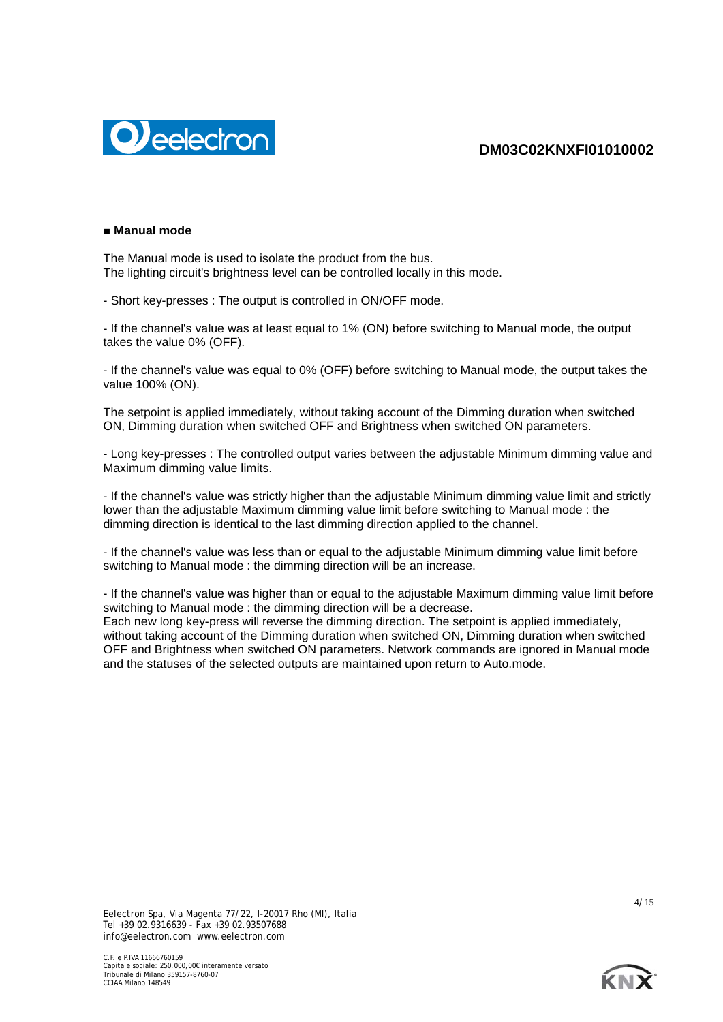

### **■ Manual mode**

The Manual mode is used to isolate the product from the bus. The lighting circuit's brightness level can be controlled locally in this mode.

- Short key-presses : The output is controlled in ON/OFF mode.

- If the channel's value was at least equal to 1% (ON) before switching to Manual mode, the output takes the value 0% (OFF).

- If the channel's value was equal to 0% (OFF) before switching to Manual mode, the output takes the value 100% (ON).

The setpoint is applied immediately, without taking account of the Dimming duration when switched ON, Dimming duration when switched OFF and Brightness when switched ON parameters.

- Long key-presses : The controlled output varies between the adjustable Minimum dimming value and Maximum dimming value limits.

- If the channel's value was strictly higher than the adjustable Minimum dimming value limit and strictly lower than the adjustable Maximum dimming value limit before switching to Manual mode : the dimming direction is identical to the last dimming direction applied to the channel.

- If the channel's value was less than or equal to the adjustable Minimum dimming value limit before switching to Manual mode : the dimming direction will be an increase.

- If the channel's value was higher than or equal to the adjustable Maximum dimming value limit before switching to Manual mode : the dimming direction will be a decrease. Each new long key-press will reverse the dimming direction. The setpoint is applied immediately, without taking account of the Dimming duration when switched ON, Dimming duration when switched

OFF and Brightness when switched ON parameters. Network commands are ignored in Manual mode and the statuses of the selected outputs are maintained upon return to Auto.mode.

Eelectron Spa, Via Magenta 77/22, I-20017 Rho (MI), Italia Tel +39 02.9316639 - Fax +39 02.93507688 info@eelectron.com www.eelectron.com



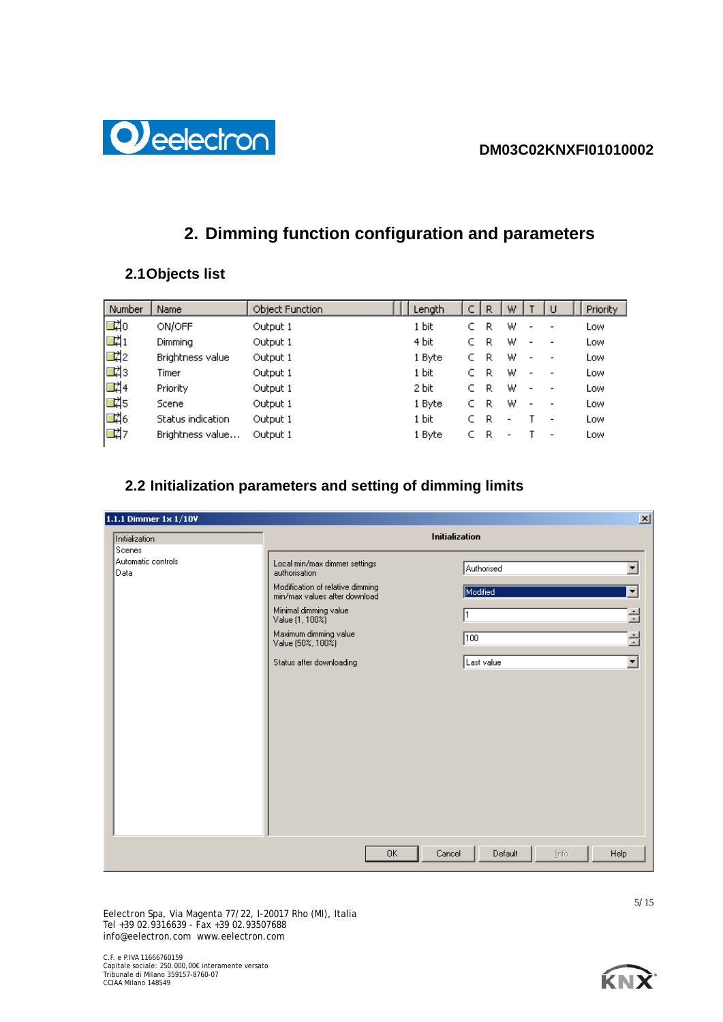

# **2. Dimming function configuration and parameters**

# **2.1Objects list**

| Number | Name              | Object Function | Length | R | W |                          | ш                            | Priority |
|--------|-------------------|-----------------|--------|---|---|--------------------------|------------------------------|----------|
| 國      | ON/OFF            | Output 1        | 1 bit  | R | W | $\blacksquare$           |                              | Low      |
| 國      | Dimming           | Output 1        | 4 bit  | R | W | $\overline{\phantom{a}}$ | -                            | Low      |
| 國      | Brightness value  | Output 1        | 1 Byte | R | W | $\overline{\phantom{a}}$ |                              | Low      |
| ■【3    | Timer             | Output 1        | 1 bit  | R | W | $\overline{\phantom{0}}$ |                              | Low      |
| 國4     | <b>Priority</b>   | Output 1        | 2 bit  | R | W | $\overline{\phantom{a}}$ | $\qquad \qquad \blacksquare$ | Low      |
| 國5     | Scene             | Output 1        | 1 Byte | R | W |                          |                              | Low      |
| 國6     | Status indication | Output 1        | 1 bit  | R |   |                          | $\overline{\phantom{a}}$     | Low      |
| 國物     | Brightness value  | Output 1        | 1 Byte | R |   |                          | $\qquad \qquad \blacksquare$ | Low      |

# **2.2 Initialization parameters and setting of dimming limits**

| 1.1.1 Dimmer 1x 1/10V                |                                                                                                                                                                                                                                           | $\mathbf{X}$                                                                                                            |
|--------------------------------------|-------------------------------------------------------------------------------------------------------------------------------------------------------------------------------------------------------------------------------------------|-------------------------------------------------------------------------------------------------------------------------|
| Initialization                       | Initialization                                                                                                                                                                                                                            |                                                                                                                         |
| Scenes<br>Automatic controls<br>Data | Local min/max dimmer settings<br>authorisation<br>Modification of relative dimming<br>min/max values after download<br>Minimal dimming value<br>Value (1, 100%)<br>Maximum dimming value<br>Value (50%, 100%)<br>Status after downloading | Authorised<br>۰<br>Modified<br>$\blacktriangledown$<br>글<br>클<br>$\sqrt{100}$<br>$\overline{\phantom{0}}$<br>Last value |
|                                      | <b>OK</b><br>Cancel                                                                                                                                                                                                                       | Help<br>Default<br>Info                                                                                                 |

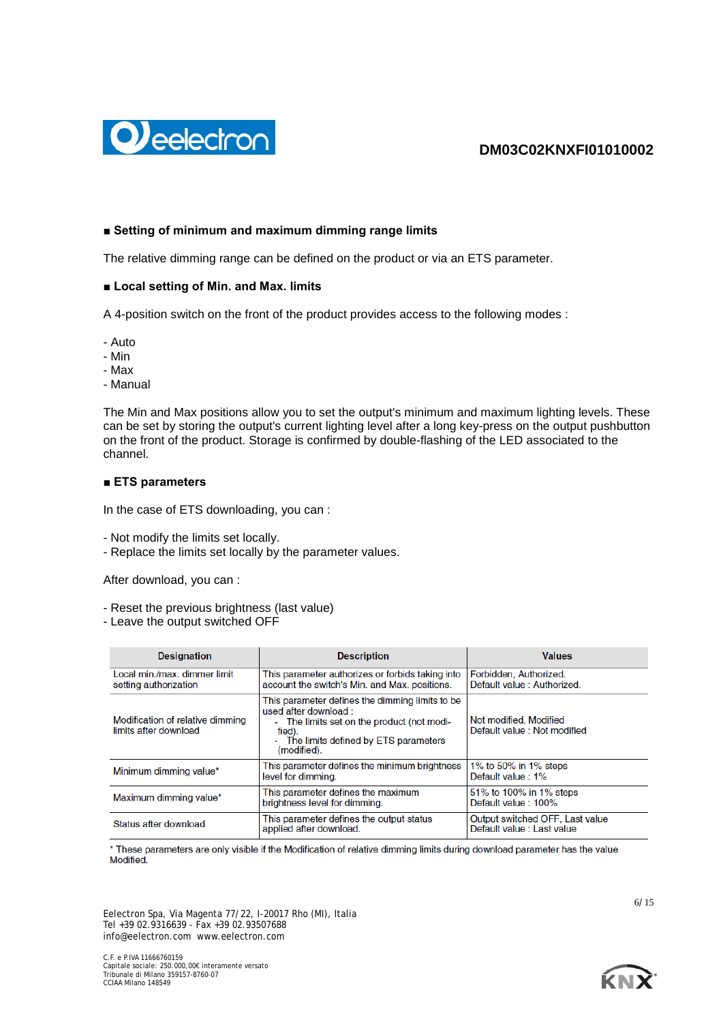



## **■ Setting of minimum and maximum dimming range limits**

The relative dimming range can be defined on the product or via an ETS parameter.

### ■ Local setting of Min. and Max. limits

A 4-position switch on the front of the product provides access to the following modes :

- Auto
- Min
- Max
- Manual

The Min and Max positions allow you to set the output's minimum and maximum lighting levels. These can be set by storing the output's current lighting level after a long key-press on the output pushbutton on the front of the product. Storage is confirmed by double-flashing of the LED associated to the channel.

#### **■ ETS parameters**

In the case of ETS downloading, you can :

- Not modify the limits set locally.
- Replace the limits set locally by the parameter values.

After download, you can :

- Reset the previous brightness (last value)
- Leave the output switched OFF

| <b>Designation</b>                                        | <b>Description</b>                                                                                                                                                                       | <b>Values</b>                                                 |
|-----------------------------------------------------------|------------------------------------------------------------------------------------------------------------------------------------------------------------------------------------------|---------------------------------------------------------------|
| Local min./max. dimmer limit<br>setting authorization     | This parameter authorizes or forbids taking into<br>account the switch's Min. and Max. positions.                                                                                        | Forbidden, Authorized.<br>Default value: Authorized.          |
| Modification of relative dimming<br>limits after download | This parameter defines the dimming limits to be<br>used after download:<br>- The limits set on the product (not modi-<br>fied).<br>- The limits defined by ETS parameters<br>(modified). | Not modified, Modified<br>Default value: Not modified         |
| Minimum dimming value*                                    | This parameter defines the minimum brightness<br>level for dimming.                                                                                                                      | 1% to 50% in 1% steps<br>Default value: 1%                    |
| Maximum dimming value*                                    | This parameter defines the maximum<br>brightness level for dimming.                                                                                                                      | 51% to 100% in 1% steps<br>Default value: 100%                |
| Status after download                                     | This parameter defines the output status<br>applied after download.                                                                                                                      | Output switched OFF, Last value<br>Default value : Last value |

\* These parameters are only visible if the Modification of relative dimming limits during download parameter has the value **Modified** 

Eelectron Spa, Via Magenta 77/22, I-20017 Rho (MI), Italia Tel +39 02.9316639 - Fax +39 02.93507688 info@eelectron.com www.eelectron.com

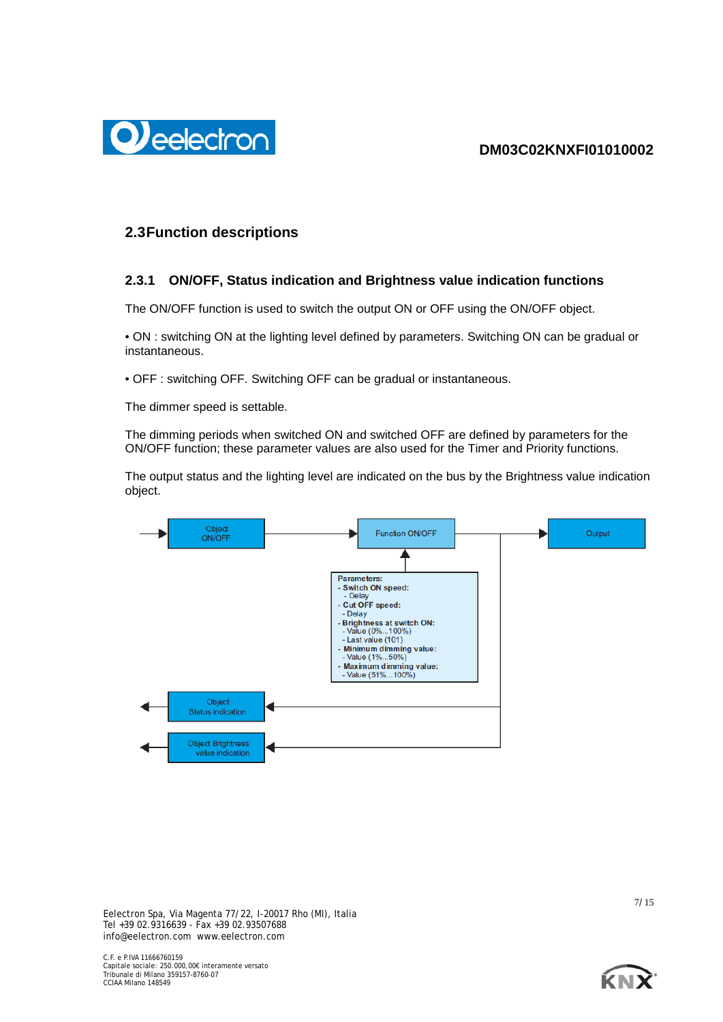

# **2.3Function descriptions**

# **2.3.1 ON/OFF, Status indication and Brightness value indication functions**

The ON/OFF function is used to switch the output ON or OFF using the ON/OFF object.

• ON : switching ON at the lighting level defined by parameters. Switching ON can be gradual or instantaneous.

• OFF : switching OFF. Switching OFF can be gradual or instantaneous.

The dimmer speed is settable.

The dimming periods when switched ON and switched OFF are defined by parameters for the ON/OFF function; these parameter values are also used for the Timer and Priority functions.

The output status and the lighting level are indicated on the bus by the Brightness value indication object.



Eelectron Spa, Via Magenta 77/22, I-20017 Rho (MI), Italia Tel +39 02.9316639 - Fax +39 02.93507688 info@eelectron.com www.eelectron.com

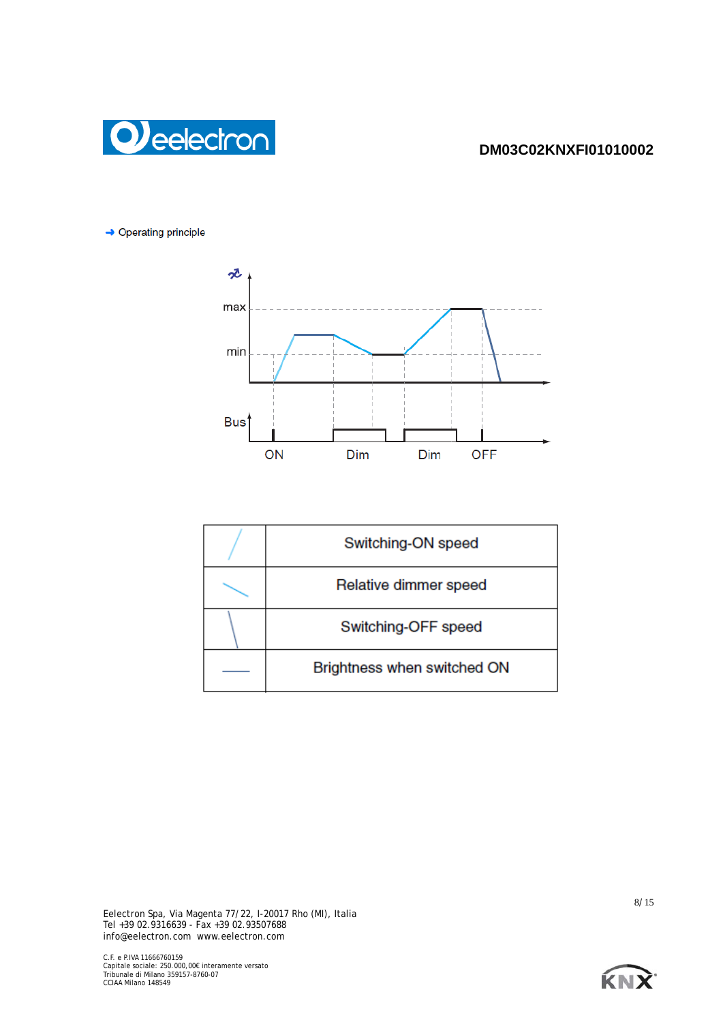



 $\rightarrow$  Operating principle



| Switching-ON speed          |  |
|-----------------------------|--|
| Relative dimmer speed       |  |
| Switching-OFF speed         |  |
| Brightness when switched ON |  |

Eelectron Spa, Via Magenta 77/22, I-20017 Rho (MI), Italia Tel +39 02.9316639 - Fax +39 02.93507688 info@eelectron.com www.eelectron.com

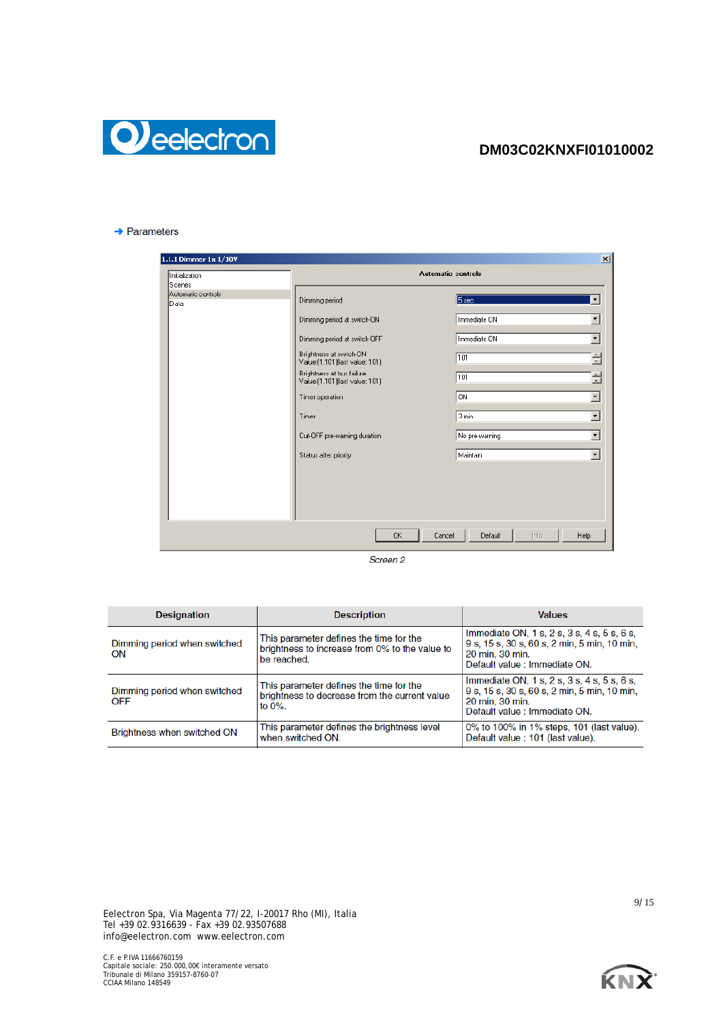

#### $\rightarrow$  Parameters

| Initialization                       |                                                                                                                                                                                                                                                                                                  | <b>Automatic controls</b>                                                                                   |                                                                                                                                                         |
|--------------------------------------|--------------------------------------------------------------------------------------------------------------------------------------------------------------------------------------------------------------------------------------------------------------------------------------------------|-------------------------------------------------------------------------------------------------------------|---------------------------------------------------------------------------------------------------------------------------------------------------------|
| Scenes<br>Automatic controls<br>Data | Dimming period<br>Dimming period at switch-ON<br>Dimming period at switch-OFF<br>Brightness at switch-DN<br>Value (1,101) [last value: 101)<br>Brightness at bus failure<br>Value [1,101] [last value: 101]<br>Timer operation<br>Timer<br>Cut-OFF pre-warning duration<br>Status after priority | 5 <sub>see</sub><br>Immediate ON<br>Immediate ON<br>101<br>101<br>ON<br>3 min<br>No pre-warning<br>Maintain | $\overline{\phantom{a}}$<br>$\blacktriangledown$<br>÷<br>클<br>$\pmb{\cdot}$<br>$\overline{\phantom{a}}$<br>$\blacktriangledown$<br>$\blacktriangledown$ |
|                                      |                                                                                                                                                                                                                                                                                                  |                                                                                                             |                                                                                                                                                         |
|                                      |                                                                                                                                                                                                                                                                                                  |                                                                                                             |                                                                                                                                                         |

Screen<sub>2</sub>

| <b>Designation</b>                         | <b>Description</b>                                                                                       | <b>Values</b>                                                                                                                                   |
|--------------------------------------------|----------------------------------------------------------------------------------------------------------|-------------------------------------------------------------------------------------------------------------------------------------------------|
| Dimming period when switched<br>ON         | This parameter defines the time for the<br>brightness to increase from 0% to the value to<br>be reached. | Immediate ON, 1 s, 2 s, 3 s, 4 s, 5 s, 6 s,<br>9 s, 15 s, 30 s, 60 s, 2 min, 5 min, 10 min,<br>20 min. 30 min.<br>Default value : Immediate ON. |
| Dimming period when switched<br><b>OFF</b> | This parameter defines the time for the<br>brightness to decrease from the current value<br>to $0\%$ .   | Immediate ON, 1 s, 2 s, 3 s, 4 s, 5 s, 6 s,<br>9 s, 15 s, 30 s, 60 s, 2 min, 5 min, 10 min,<br>20 min. 30 min.<br>Default value : Immediate ON. |
| <b>Brightness when switched ON</b>         | This parameter defines the brightness level<br>when switched ON.                                         | 0% to 100% in 1% steps, 101 (last value).<br>Default value : 101 (last value).                                                                  |

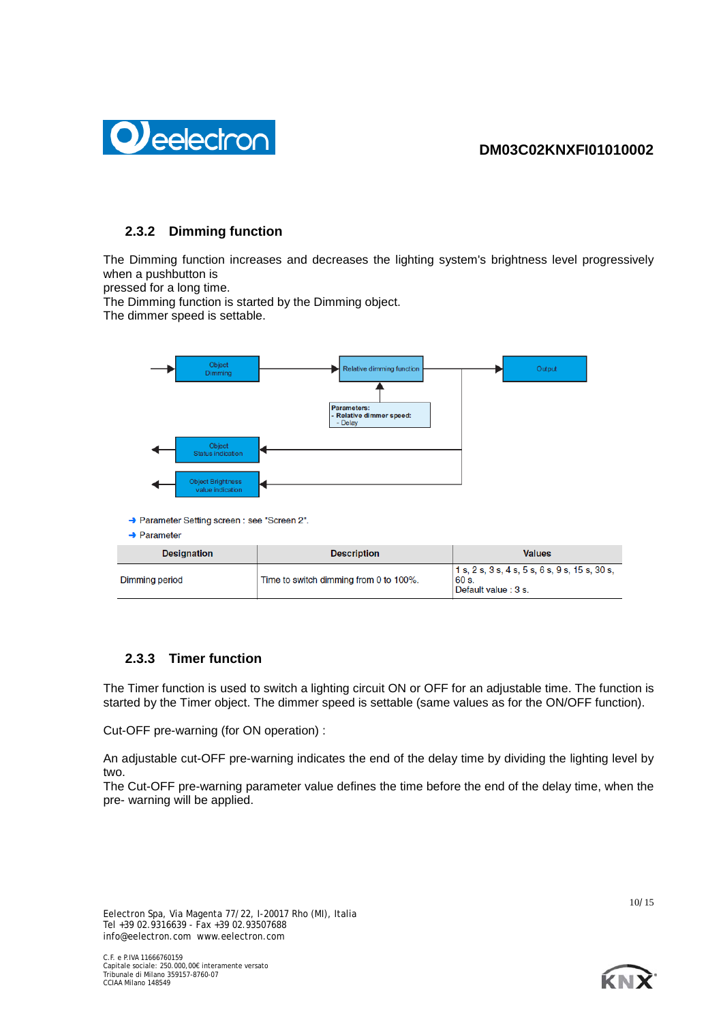

# **2.3.2 Dimming function**

The Dimming function increases and decreases the lighting system's brightness level progressively when a pushbutton is

pressed for a long time.

The Dimming function is started by the Dimming object.

The dimmer speed is settable.



| <b>Designation</b> | <b>Description</b>                     | <b>Values</b>                                                                      |
|--------------------|----------------------------------------|------------------------------------------------------------------------------------|
| Dimming period     | Time to switch dimming from 0 to 100%. | $1 s$ , 2 s, 3 s, 4 s, 5 s, 6 s, 9 s, 15 s, 30 s,<br>60 s.<br>Default value : 3 s. |

# **2.3.3 Timer function**

The Timer function is used to switch a lighting circuit ON or OFF for an adjustable time. The function is started by the Timer object. The dimmer speed is settable (same values as for the ON/OFF function).

Cut-OFF pre-warning (for ON operation) :

An adjustable cut-OFF pre-warning indicates the end of the delay time by dividing the lighting level by two.

The Cut-OFF pre-warning parameter value defines the time before the end of the delay time, when the pre- warning will be applied.

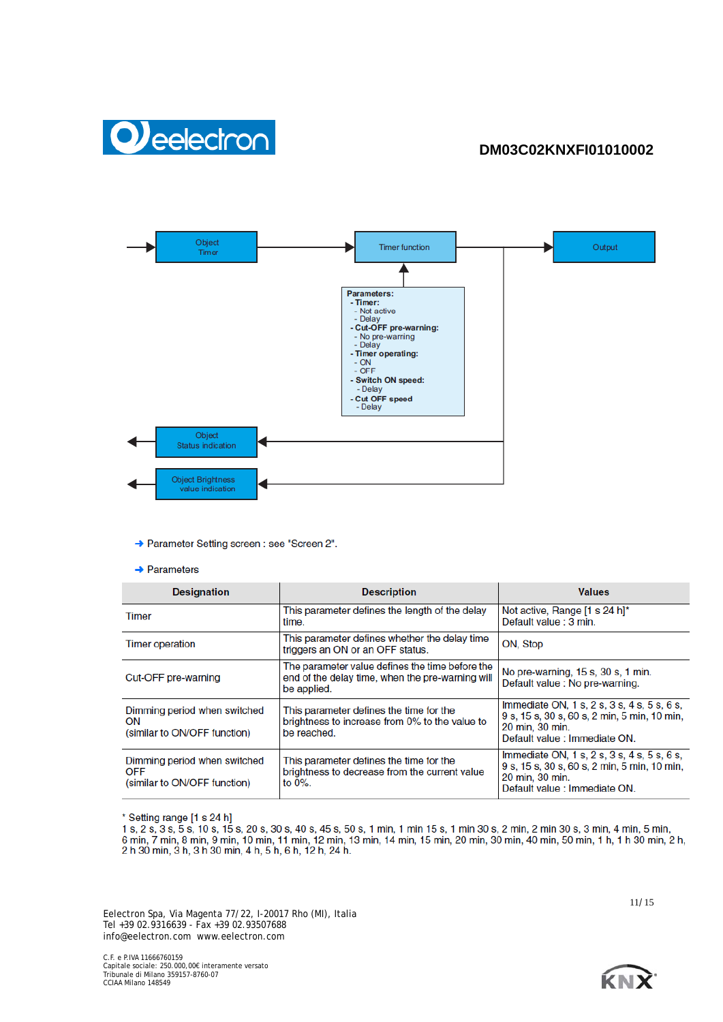



→ Parameter Setting screen : see "Screen 2".

 $\rightarrow$  Parameters

| <b>Designation</b>                                                         | <b>Description</b>                                                                                                 | <b>Values</b>                                                                                                                                   |
|----------------------------------------------------------------------------|--------------------------------------------------------------------------------------------------------------------|-------------------------------------------------------------------------------------------------------------------------------------------------|
| Timer                                                                      | This parameter defines the length of the delay<br>time.                                                            | Not active, Range [1 s 24 h]*<br>Default value : 3 min.                                                                                         |
| <b>Timer operation</b>                                                     | This parameter defines whether the delay time<br>triggers an ON or an OFF status.                                  | ON, Stop                                                                                                                                        |
| Cut-OFF pre-warning                                                        | The parameter value defines the time before the<br>end of the delay time, when the pre-warning will<br>be applied. | No pre-warning, 15 s, 30 s, 1 min.<br>Default value : No pre-warning.                                                                           |
| Dimming period when switched<br>ON<br>(similar to ON/OFF function)         | This parameter defines the time for the<br>brightness to increase from 0% to the value to<br>be reached.           | Immediate ON, 1 s, 2 s, 3 s, 4 s, 5 s, 6 s,<br>9 s, 15 s, 30 s, 60 s, 2 min, 5 min, 10 min,<br>20 min, 30 min.<br>Default value : Immediate ON. |
| Dimming period when switched<br><b>OFF</b><br>(similar to ON/OFF function) | This parameter defines the time for the<br>brightness to decrease from the current value<br>to $0\%$ .             | Immediate ON, 1 s, 2 s, 3 s, 4 s, 5 s, 6 s,<br>9 s, 15 s, 30 s, 60 s, 2 min, 5 min, 10 min,<br>20 min, 30 min.<br>Default value : Immediate ON. |

\* Setting range [1 s 24 h]

1 s, 2 s, 3 s, 5 s, 10 s, 15 s, 20 s, 30 s, 40 s, 45 s, 50 s, 1 min, 1 min 15 s, 1 min 30 s, 2 min, 2 min 30 s, 3 min, 4 min, 5 min, 6 min, 7 min, 8 min, 9 min, 10 min, 11 min, 12 min, 13 min, 14 min, 15 min, 20 min, 30 mi

Eelectron Spa, Via Magenta 77/22, I-20017 Rho (MI), Italia Tel +39 02.9316639 - Fax +39 02.93507688 info@eelectron.com www.eelectron.com

C.F. e P.IVA 11666760159 Capitale sociale: 250.000,00€ interamente versato Tribunale di Milano 359157-8760-07 CCIAA Milano 148549

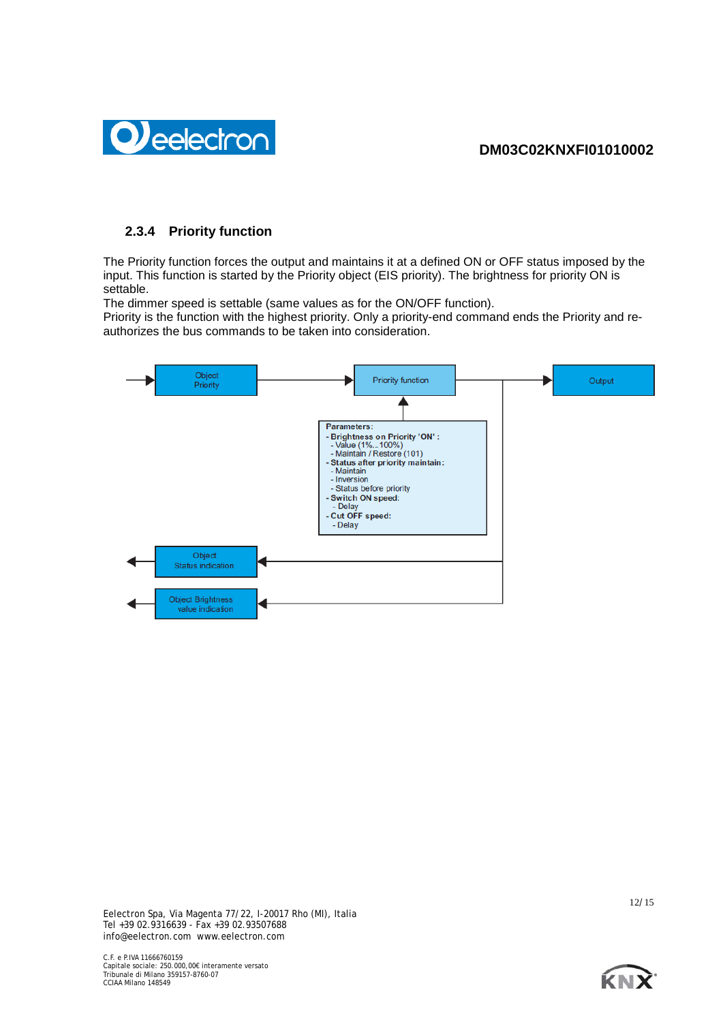

# **2.3.4 Priority function**

The Priority function forces the output and maintains it at a defined ON or OFF status imposed by the input. This function is started by the Priority object (EIS priority). The brightness for priority ON is settable.

The dimmer speed is settable (same values as for the ON/OFF function).

Priority is the function with the highest priority. Only a priority-end command ends the Priority and reauthorizes the bus commands to be taken into consideration.



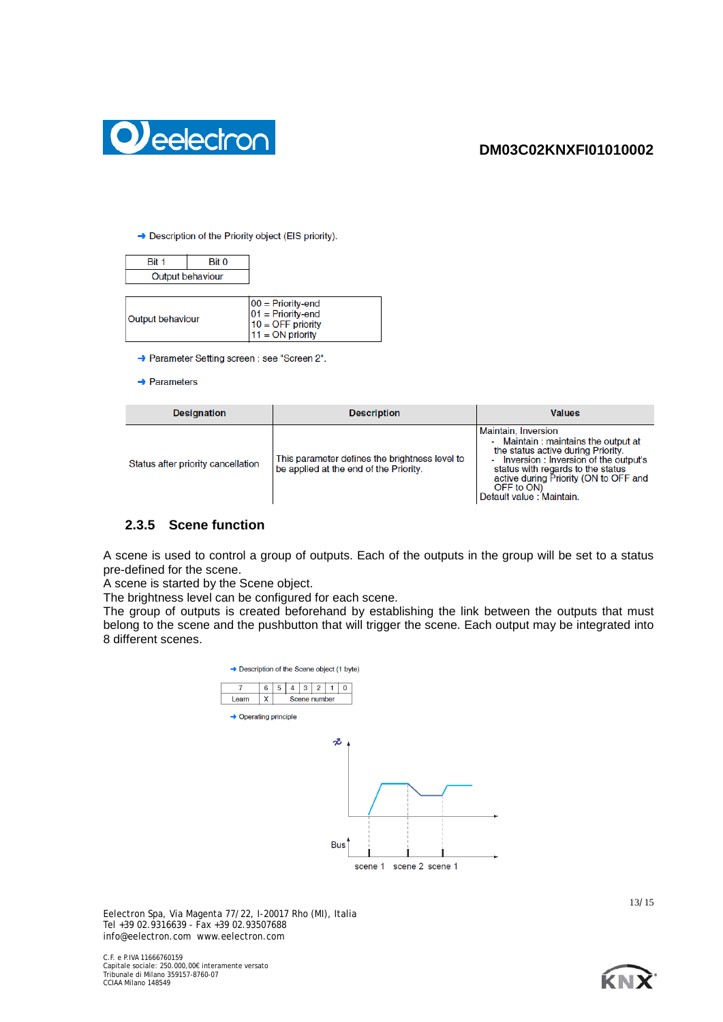



## → Description of the Priority object (EIS priority).

| Bit 1            | Bit 0 |                                                                                         |
|------------------|-------|-----------------------------------------------------------------------------------------|
| Output behaviour |       |                                                                                         |
|                  |       |                                                                                         |
| Output behaviour |       | $00 =$ Priority-end<br>$01 =$ Priority-end<br>$10 =$ OFF priority<br>$11 = ON$ priority |

- → Parameter Setting screen : see "Screen 2".
- $\rightarrow$  Parameters

| <b>Designation</b>                 | <b>Description</b>                                                                       | <b>Values</b>                                                                                                                                                                                                                                                        |
|------------------------------------|------------------------------------------------------------------------------------------|----------------------------------------------------------------------------------------------------------------------------------------------------------------------------------------------------------------------------------------------------------------------|
| Status after priority cancellation | This parameter defines the brightness level to<br>be applied at the end of the Priority. | Maintain, Inversion<br>- Maintain: maintains the output at<br>the status active during Priority.<br>- Inversion : Inversion of the output's<br>status with regards to the status<br>active during Priority (ON to OFF and<br>OFF to ON)<br>Default value : Maintain. |

# **2.3.5 Scene function**

A scene is used to control a group of outputs. Each of the outputs in the group will be set to a status pre-defined for the scene.

A scene is started by the Scene object.

The brightness level can be configured for each scene.

The group of outputs is created beforehand by establishing the link between the outputs that must belong to the scene and the pushbutton that will trigger the scene. Each output may be integrated into 8 different scenes.



Eelectron Spa, Via Magenta 77/22, I-20017 Rho (MI), Italia Tel +39 02.9316639 - Fax +39 02.93507688 info@eelectron.com www.eelectron.com

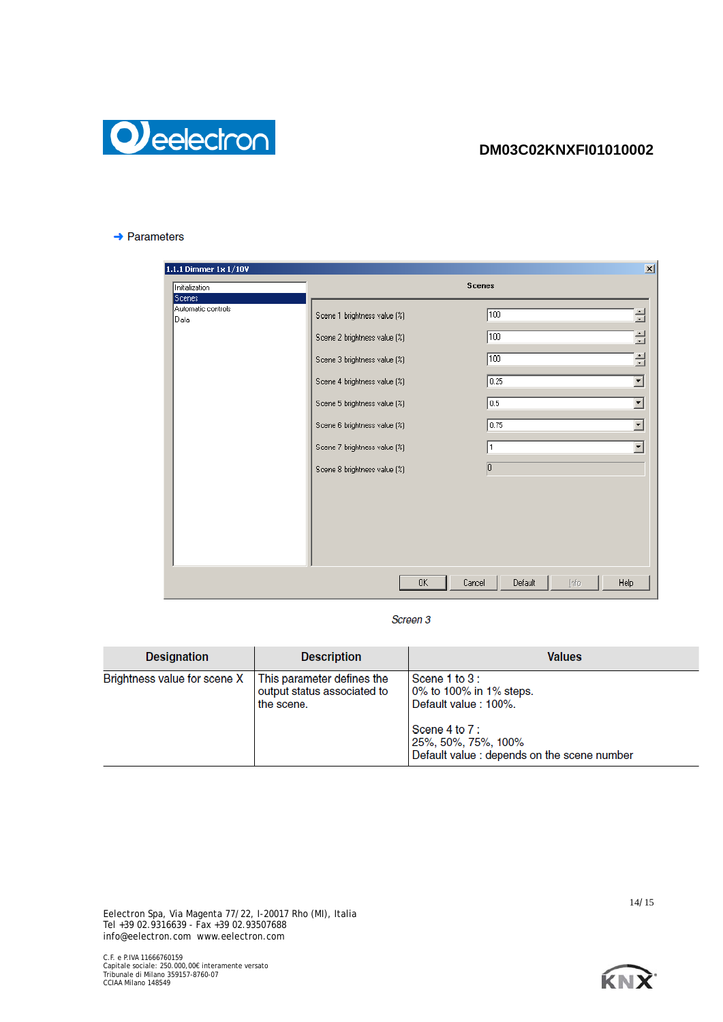

### $\rightarrow$  Parameters

| 1.1.1 Dimmer 1x 1/10V                  |                                                                                                                                                                                                                              | $\vert x \vert$                                                                                                                                       |  |  |
|----------------------------------------|------------------------------------------------------------------------------------------------------------------------------------------------------------------------------------------------------------------------------|-------------------------------------------------------------------------------------------------------------------------------------------------------|--|--|
| Initialization                         |                                                                                                                                                                                                                              | <b>Scenes</b>                                                                                                                                         |  |  |
| Scenes<br>Automatic controls<br>lDaia. | Scene 1 brightness value (%)<br>Scene 2 brightness value (%)<br>Scene 3 brightness value (%)<br>Scene 4 brightness value (%)<br>Scene 5 brightness value [%]<br>Scene 6 brightness value (%)<br>Scene 7 brightness value (%) | ÷<br>100<br>÷<br>100<br>릨<br>$\sqrt{100}$<br>0.25<br>$\blacktriangledown$<br>0.5<br>$\blacktriangledown$<br>0.75<br>$\overline{\mathbf{r}}$<br>1<br>۰ |  |  |
|                                        | Scene 8 brightness value (%)<br>0K                                                                                                                                                                                           | $\overline{0}$<br>Default<br>Help<br>Cancel<br>Info                                                                                                   |  |  |

Screen 3

| <b>Designation</b>           | <b>Description</b>                                                      | <b>Values</b>                                                                                                                                           |
|------------------------------|-------------------------------------------------------------------------|---------------------------------------------------------------------------------------------------------------------------------------------------------|
| Brightness value for scene X | This parameter defines the<br>output status associated to<br>the scene. | Scene 1 to 3:<br>0% to 100% in 1% steps.<br>Default value: 100%.<br>Scene 4 to 7:<br>25%, 50%, 75%, 100%<br>Default value : depends on the scene number |

Eelectron Spa, Via Magenta 77/22, I-20017 Rho (MI), Italia Tel +39 02.9316639 - Fax +39 02.93507688 info@eelectron.com www.eelectron.com